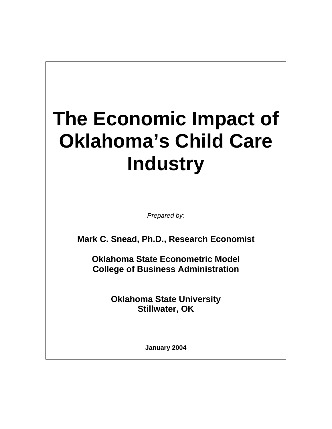# **The Economic Impact of Oklahoma's Child Care Industry**

*Prepared by:* 

**Mark C. Snead, Ph.D., Research Economist** 

**Oklahoma State Econometric Model College of Business Administration** 

> **Oklahoma State University Stillwater, OK**

> > **January 2004**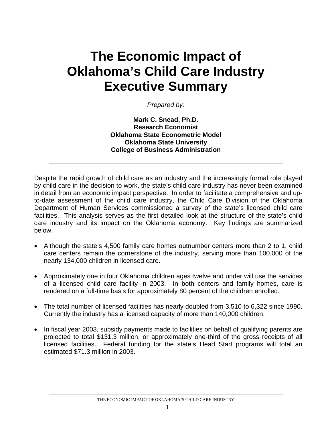# **The Economic Impact of Oklahoma's Child Care Industry Executive Summary**

*Prepared by:* 

**Mark C. Snead, Ph.D. Research Economist Oklahoma State Econometric Model Oklahoma State University College of Business Administration** 

Despite the rapid growth of child care as an industry and the increasingly formal role played by child care in the decision to work, the state's child care industry has never been examined in detail from an economic impact perspective. In order to facilitate a comprehensive and upto-date assessment of the child care industry, the Child Care Division of the Oklahoma Department of Human Services commissioned a survey of the state's licensed child care facilities. This analysis serves as the first detailed look at the structure of the state's child care industry and its impact on the Oklahoma economy. Key findings are summarized below.

- Although the state's 4,500 family care homes outnumber centers more than 2 to 1, child care centers remain the cornerstone of the industry, serving more than 100,000 of the nearly 134,000 children in licensed care.
- Approximately one in four Oklahoma children ages twelve and under will use the services of a licensed child care facility in 2003. In both centers and family homes, care is rendered on a full-time basis for approximately 80 percent of the children enrolled.
- The total number of licensed facilities has nearly doubled from 3,510 to 6,322 since 1990. Currently the industry has a licensed capacity of more than 140,000 children.
- In fiscal year 2003, subsidy payments made to facilities on behalf of qualifying parents are projected to total \$131.3 million, or approximately one-third of the gross receipts of all licensed facilities. Federal funding for the state's Head Start programs will total an estimated \$71.3 million in 2003.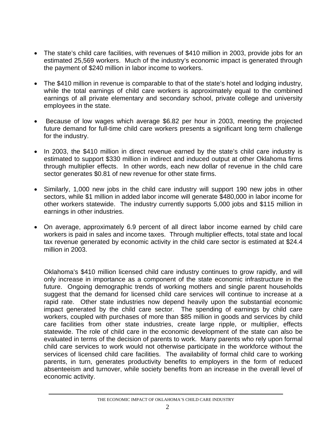- The state's child care facilities, with revenues of \$410 million in 2003, provide jobs for an estimated 25,569 workers. Much of the industry's economic impact is generated through the payment of \$240 million in labor income to workers.
- The \$410 million in revenue is comparable to that of the state's hotel and lodging industry, while the total earnings of child care workers is approximately equal to the combined earnings of all private elementary and secondary school, private college and university employees in the state.
- Because of low wages which average \$6.82 per hour in 2003, meeting the projected future demand for full-time child care workers presents a significant long term challenge for the industry.
- In 2003, the \$410 million in direct revenue earned by the state's child care industry is estimated to support \$330 million in indirect and induced output at other Oklahoma firms through multiplier effects. In other words, each new dollar of revenue in the child care sector generates \$0.81 of new revenue for other state firms.
- Similarly, 1,000 new jobs in the child care industry will support 190 new jobs in other sectors, while \$1 million in added labor income will generate \$480,000 in labor income for other workers statewide. The industry currently supports 5,000 jobs and \$115 million in earnings in other industries.
- On average, approximately 6.9 percent of all direct labor income earned by child care workers is paid in sales and income taxes. Through multiplier effects, total state and local tax revenue generated by economic activity in the child care sector is estimated at \$24.4 million in 2003.

Oklahoma's \$410 million licensed child care industry continues to grow rapidly, and will only increase in importance as a component of the state economic infrastructure in the future. Ongoing demographic trends of working mothers and single parent households suggest that the demand for licensed child care services will continue to increase at a rapid rate. Other state industries now depend heavily upon the substantial economic impact generated by the child care sector. The spending of earnings by child care workers, coupled with purchases of more than \$85 million in goods and services by child care facilities from other state industries, create large ripple, or multiplier, effects statewide. The role of child care in the economic development of the state can also be evaluated in terms of the decision of parents to work. Many parents who rely upon formal child care services to work would not otherwise participate in the workforce without the services of licensed child care facilities. The availability of formal child care to working parents, in turn, generates productivity benefits to employers in the form of reduced absenteeism and turnover, while society benefits from an increase in the overall level of economic activity.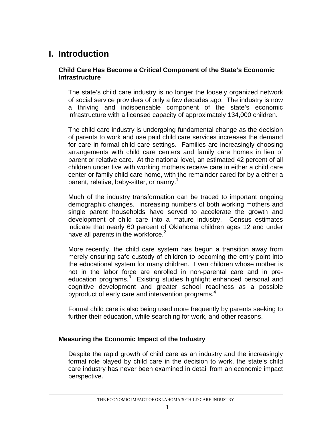# **I. Introduction**

#### **Child Care Has Become a Critical Component of the State's Economic Infrastructure**

The state's child care industry is no longer the loosely organized network of social service providers of only a few decades ago. The industry is now a thriving and indispensable component of the state's economic infrastructure with a licensed capacity of approximately 134,000 children.

The child care industry is undergoing fundamental change as the decision of parents to work and use paid child care services increases the demand for care in formal child care settings. Families are increasingly choosing arrangements with child care centers and family care homes in lieu of parent or relative care. At the national level, an estimated 42 percent of all children under five with working mothers receive care in either a child care center or family child care home, with the remainder cared for by a either a parent, relative, baby-sitter, or nanny.<sup>[1](#page-29-0)</sup>

Much of the industry transformation can be traced to important ongoing demographic changes. Increasing numbers of both working mothers and single parent households have served to accelerate the growth and development of child care into a mature industry. Census estimates indicate that nearly 60 percent of Oklahoma children ages 12 and under have all parents in the workforce. $2$ 

More recently, the child care system has begun a transition away from merely ensuring safe custody of children to becoming the entry point into the educational system for many children. Even children whose mother is not in the labor force are enrolled in non-parental care and in preeducation programs.<sup>3</sup> Existing studies highlight enhanced personal and cognitive development and greater school readiness as a possible byproduct of early care and intervention programs.<sup>[4](#page-29-3)</sup>

Formal child care is also being used more frequently by parents seeking to further their education, while searching for work, and other reasons.

#### **Measuring the Economic Impact of the Industry**

Despite the rapid growth of child care as an industry and the increasingly formal role played by child care in the decision to work, the state's child care industry has never been examined in detail from an economic impact perspective.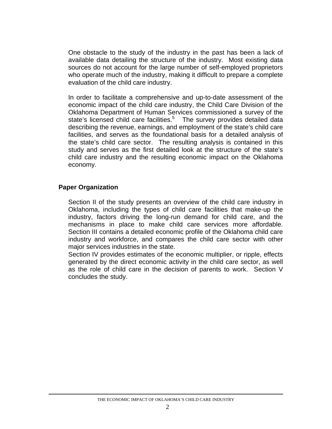One obstacle to the study of the industry in the past has been a lack of available data detailing the structure of the industry. Most existing data sources do not account for the large number of self-employed proprietors who operate much of the industry, making it difficult to prepare a complete evaluation of the child care industry.

In order to facilitate a comprehensive and up-to-date assessment of the economic impact of the child care industry, the Child Care Division of the Oklahoma Department of Human Services commissioned a survey of the state'slicensed child care facilities.<sup>5</sup> The survey provides detailed data describing the revenue, earnings, and employment of the state's child care facilities, and serves as the foundational basis for a detailed analysis of the state's child care sector. The resulting analysis is contained in this study and serves as the first detailed look at the structure of the state's child care industry and the resulting economic impact on the Oklahoma economy.

#### **Paper Organization**

Section II of the study presents an overview of the child care industry in Oklahoma, including the types of child care facilities that make-up the industry, factors driving the long-run demand for child care, and the mechanisms in place to make child care services more affordable. Section III contains a detailed economic profile of the Oklahoma child care industry and workforce, and compares the child care sector with other major services industries in the state.

Section IV provides estimates of the economic multiplier, or ripple, effects generated by the direct economic activity in the child care sector, as well as the role of child care in the decision of parents to work. Section V concludes the study.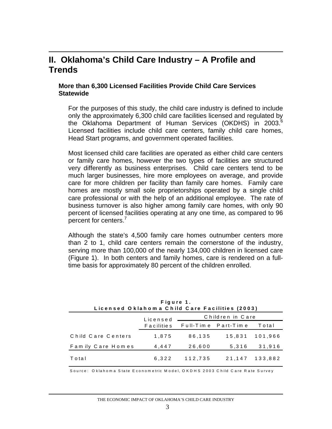### **II. Oklahoma's Child Care Industry – A Profile and Trends**

#### **More than 6,300 Licensed Facilities Provide Child Care Services Statewide**

For the purposes of this study, the child care industry is defined to include only the approximately 6,300 child care facilities licensed and regulated by the Oklahoma Department of Human Services (OKDHS) in 2003.<sup>[6](#page-29-5)</sup> Licensed facilities include child care centers, family child care homes, Head Start programs, and government operated facilities.

Most licensed child care facilities are operated as either child care centers or family care homes, however the two types of facilities are structured very differently as business enterprises. Child care centers tend to be much larger businesses, hire more employees on average, and provide care for more children per facility than family care homes. Family care homes are mostly small sole proprietorships operated by a single child care professional or with the help of an additional employee. The rate of business turnover is also higher among family care homes, with only 90 percent of licensed facilities operating at any one time, as compared to 96 percent for centers.<sup>[7](#page-29-6)</sup>

Although the state's 4,500 family care homes outnumber centers more than 2 to 1, child care centers remain the cornerstone of the industry, serving more than 100,000 of the nearly 134,000 children in licensed care (Figure 1). In both centers and family homes, care is rendered on a fulltime basis for approximately 80 percent of the children enrolled.

| Figure 1.<br>Licensed Oklahoma Child Care Facilities (2003) |                              |         |                     |         |  |  |
|-------------------------------------------------------------|------------------------------|---------|---------------------|---------|--|--|
|                                                             | Children in Care<br>Licensed |         |                     |         |  |  |
|                                                             | <b>Facilities</b>            |         | Full-Time Part-Time | Total   |  |  |
| Child Care Centers                                          | 1,875                        | 86,135  | 15,831              | 101,966 |  |  |
| Family Care Homes                                           | 4,447                        | 26,600  | 5.316               | 31,916  |  |  |
| Total                                                       | 6,322                        | 112,735 | 21.147              | 133.882 |  |  |

Source: Oklahoma State Econometric Model, OKDHS 2003 Child Care Rate Survey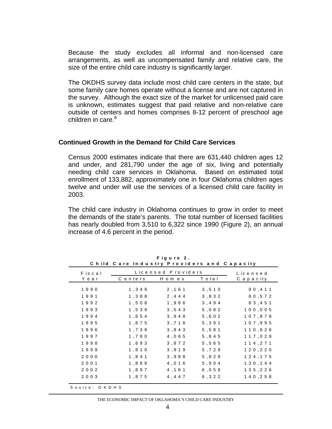Because the study excludes all informal and non-licensed care arrangements, as well as uncompensated family and relative care, the size of the entire child care industry is significantly larger.

The OKDHS survey data include most child care centers in the state, but some family care homes operate without a license and are not captured in the survey. Although the exact size of the market for unlicensed paid care is unknown, estimates suggest that paid relative and non-relative care outside of centers and homes comprises 8-12 percent of preschool age children in care.<sup>[8](#page-29-7)</sup>

#### **Continued Growth in the Demand for Child Care Services**

Census 2000 estimates indicate that there are 631,440 children ages 12 and under, and 281,790 under the age of six, living and potentially needing child care services in Oklahoma. Based on estimated total enrollment of 133,882, approximately one in four Oklahoma children ages twelve and under will use the services of a licensed child care facility in 2003.

The child care industry in Oklahoma continues to grow in order to meet the demands of the state's parents. The total number of licensed facilities has nearly doubled from 3,510 to 6,322 since 1990 (Figure 2), an annual increase of 4.6 percent in the period.

| Fiscal  |                       | Licensed Providers |        | Licensed      |
|---------|-----------------------|--------------------|--------|---------------|
| Year    | Centers               | H om e s           | Total  | C a p a c ity |
| 1990    | 1,349                 | 2,161              | 3, 510 | 90,411        |
| 1991    | 1,388                 | 2,444              | 3,832  | 80.572        |
| 1992    | 1,508                 | 1,986              | 3,494  | 83,451        |
| 1993    | 1,539                 | 3,543              | 5,082  | 100,005       |
| 1994    | 1,654                 | 3,948              | 5,602  | 107,878       |
| 1995    | 1,675                 | 3,716              | 5.391  | 107.995       |
| 1996    | 1,738                 | 3.843              | 5.581  | 110.626       |
| 1997    | 1,780                 | 4,065              | 5,845  | 117,029       |
| 1998    | 1,693                 | 3,872              | 5,565  | 1 1 4 , 2 7 1 |
| 1999    | 1,810                 | 3,919              | 5,729  | 1 2 0 , 2 2 0 |
| 2000    | 1,841                 | 3,988              | 5,829  | 1 2 4 , 1 7 5 |
| 2 0 0 1 | $1$ , $8$ $\,8$ $\,8$ | 4,016              | 5,904  | 130,144       |
| 2002    | 1,897                 | 4, 161             | 6,058  | 1 3 5 , 2 2 6 |
| 2003    | 1,875                 | 4,447              | 6, 322 | 140,258       |

**F i g u r e 2 .**

THE ECONOMIC IMPACT OF OKLAHOMA'S CHILD CARE INDUSTRY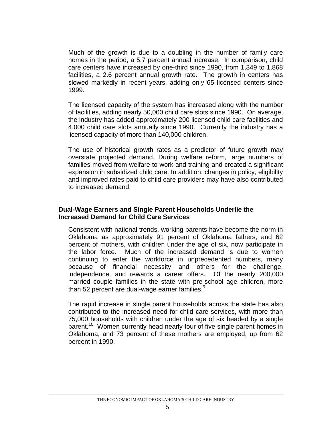Much of the growth is due to a doubling in the number of family care homes in the period, a 5.7 percent annual increase. In comparison, child care centers have increased by one-third since 1990, from 1,349 to 1,868 facilities, a 2.6 percent annual growth rate. The growth in centers has slowed markedly in recent years, adding only 65 licensed centers since 1999.

The licensed capacity of the system has increased along with the number of facilities, adding nearly 50,000 child care slots since 1990. On average, the industry has added approximately 200 licensed child care facilities and 4,000 child care slots annually since 1990. Currently the industry has a licensed capacity of more than 140,000 children.

The use of historical growth rates as a predictor of future growth may overstate projected demand. During welfare reform, large numbers of families moved from welfare to work and training and created a significant expansion in subsidized child care. In addition, changes in policy, eligibility and improved rates paid to child care providers may have also contributed to increased demand.

#### **Dual-Wage Earners and Single Parent Households Underlie the Increased Demand for Child Care Services**

Consistent with national trends, working parents have become the norm in Oklahoma as approximately 91 percent of Oklahoma fathers, and 62 percent of mothers, with children under the age of six, now participate in the labor force. Much of the increased demand is due to women continuing to enter the workforce in unprecedented numbers, many because of financial necessity and others for the challenge, independence, and rewards a career offers. Of the nearly 200,000 married couple families in the state with pre-school age children, more than 52 percent are dual-wage earner families. $9$ 

The rapid increase in single parent households across the state has also contributed to the increased need for child care services, with more than 75,000 households with children under the age of six headed by a single parent.<sup>10</sup> Women currently head nearly four of five single parent homes in Oklahoma, and 73 percent of these mothers are employed, up from 62 percent in 1990.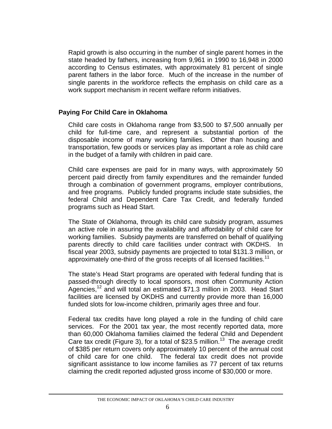Rapid growth is also occurring in the number of single parent homes in the state headed by fathers, increasing from 9,961 in 1990 to 16,948 in 2000 according to Census estimates, with approximately 81 percent of single parent fathers in the labor force. Much of the increase in the number of single parents in the workforce reflects the emphasis on child care as a work support mechanism in recent welfare reform initiatives.

#### **Paying For Child Care in Oklahoma**

Child care costs in Oklahoma range from \$3,500 to \$7,500 annually per child for full-time care, and represent a substantial portion of the disposable income of many working families. Other than housing and transportation, few goods or services play as important a role as child care in the budget of a family with children in paid care.

Child care expenses are paid for in many ways, with approximately 50 percent paid directly from family expenditures and the remainder funded through a combination of government programs, employer contributions, and free programs. Publicly funded programs include state subsidies, the federal Child and Dependent Care Tax Credit, and federally funded programs such as Head Start.

The State of Oklahoma, through its child care subsidy program, assumes an active role in assuring the availability and affordability of child care for working families. Subsidy payments are transferred on behalf of qualifying parents directly to child care facilities under contract with OKDHS. In fiscal year 2003, subsidy payments are projected to total \$131.3 million, or approximately one-third of the gross receipts of all licensed facilities.<sup>11</sup>

The state's Head Start programs are operated with federal funding that is passed-through directly to local sponsors, most often Community Action Agencies,<sup>12</sup> and will total an estimated \$71.3 million in 2003. Head Start facilities are licensed by OKDHS and currently provide more than 16,000 funded slots for low-income children, primarily ages three and four.

Federal tax credits have long played a role in the funding of child care services. For the 2001 tax year, the most recently reported data, more than 60,000 Oklahoma families claimed the federal Child and Dependent Care tax credit (Figure 3), for a total of \$23.5 million.<sup>13</sup> The average credit of \$385 per return covers only approximately 10 percent of the annual cost of child care for one child. The federal tax credit does not provide significant assistance to low income families as 77 percent of tax returns claiming the credit reported adjusted gross income of \$30,000 or more.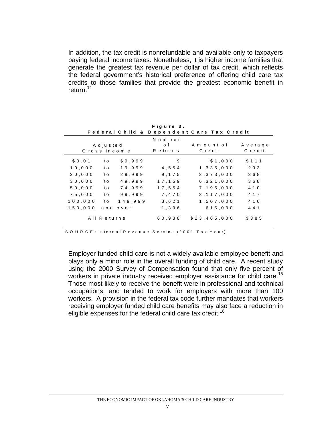In addition, the tax credit is nonrefundable and available only to taxpayers paying federal income taxes. Nonetheless, it is higher income families that generate the greatest tax revenue per dollar of tax credit, which reflects the federal government's historical preference of offering child care tax credits to those families that provide the greatest economic benefit in return.[14](#page-29-13) 

|         |               |              |             | Federal Child & Dependent Care Tax Credit |          |
|---------|---------------|--------------|-------------|-------------------------------------------|----------|
|         |               |              | N um ber    |                                           |          |
|         | A d ju s te d |              | o f         | Amountof                                  | Average  |
|         |               | Gross Income | R e tu rn s | C redit                                   | C red it |
| \$0.01  | t o           | \$9.999      | 9           | \$1,000                                   | \$111    |
| 10,000  | t o           | 19.999       | 4 .5 5 4    | 1,335,000                                 | 293      |
| 20,000  | t o           | 29.999       | 9, 175      | 3, 373, 000                               | 368      |
| 30.000  | t o           | 49.999       | 17.159      | 6, 321, 000                               | 368      |
| 50.000  | t o           | 74.999       | 17.554      | 7.195.000                                 | 4 1 0    |
| 75,000  | t o           | 99.999       | 7,470       | 3, 117, 000                               | 4 1 7    |
| 100.000 | t o           | 149.999      | 3 . 6 2 1   | 1,507,000                                 | 4 1 6    |
| 150.000 |               | and over     | 1,396       | 616,000                                   | 4 4 1    |
|         | All Returns   |              | 60.938      | \$23,465,000                              | \$385    |

**F i g u r e 3 .**

SOURCE: Internal Revenue Service (2001 Tax Year)

Employer funded child care is not a widely available employee benefit and plays only a minor role in the overall funding of child care. A recent study using the 2000 Survey of Compensation found that only five percent of workers in private industry received employer assistance for child care.<sup>15</sup> Those most likely to receive the benefit were in professional and technical occupations, and tended to work for employers with more than 100 workers. A provision in the federal tax code further mandates that workers receiving employer funded child care benefits may also face a reduction in eligible expenses for the federal child care tax credit.<sup>16</sup>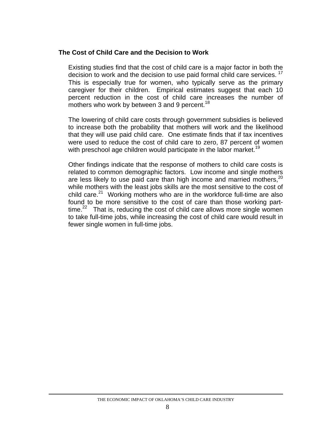#### **The Cost of Child Care and the Decision to Work**

Existing studies find that the cost of child care is a major factor in both the decision to work and the decision to use paid formal child care services.<sup>17</sup> This is especially true for women, who typically serve as the primary caregiver for their children. Empirical estimates suggest that each 10 percent reduction in the cost of child care increases the number of mothers who work by between 3 and 9 percent.<sup>18</sup>

The lowering of child care costs through government subsidies is believed to increase both the probability that mothers will work and the likelihood that they will use paid child care. One estimate finds that if tax incentives were used to reduce the cost of child care to zero, 87 percent of women with preschool age children would participate in the labor market.<sup>19</sup>

Other findings indicate that the response of mothers to child care costs is related to common demographic factors. Low income and single mothers are less likely to use paid care than high income and married mothers,<sup>[20](#page-29-19)</sup> while mothers with the least jobs skills are the most sensitive to the cost of child care. $21$  Working mothers who are in the workforce full-time are also found to be more sensitive to the cost of care than those working parttime.<sup>22</sup> That is, reducing the cost of child care allows more single women to take full-time jobs, while increasing the cost of child care would result in fewer single women in full-time jobs.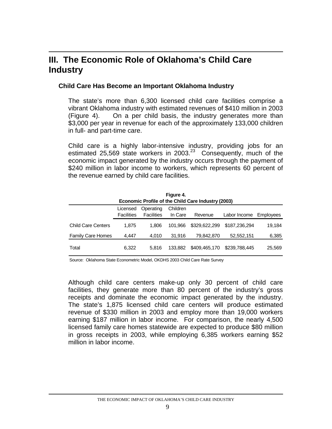## **III. The Economic Role of Oklahoma's Child Care Industry**

#### **Child Care Has Become an Important Oklahoma Industry**

The state's more than 6,300 licensed child care facilities comprise a vibrant Oklahoma industry with estimated revenues of \$410 million in 2003 (Figure 4). On a per child basis, the industry generates more than \$3,000 per year in revenue for each of the approximately 133,000 children in full- and part-time care.

Child care is a highly labor-intensive industry, providing jobs for an estimated 25,569 state workers in 2003.<sup>23</sup> Consequently, much of the economic impact generated by the industry occurs through the payment of \$240 million in labor income to workers, which represents 60 percent of the revenue earned by child care facilities.

| Figure 4.                 |                                                           |                   |          |               |               |           |  |
|---------------------------|-----------------------------------------------------------|-------------------|----------|---------------|---------------|-----------|--|
|                           | <b>Economic Profile of the Child Care Industry (2003)</b> |                   |          |               |               |           |  |
|                           | Licensed                                                  | Operating         | Children |               |               |           |  |
|                           | Facilities                                                | <b>Facilities</b> | In Care  | Revenue       | Labor Income  | Employees |  |
| <b>Child Care Centers</b> | 1.875                                                     | 1.806             | 101.966  | \$329,622,299 | \$187,236,294 | 19,184    |  |
| <b>Family Care Homes</b>  | 4.447                                                     | 4.010             | 31.916   | 79,842,870    | 52,552,151    | 6,385     |  |
| Total                     | 6,322                                                     | 5.816             | 133.882  | \$409,465,170 | \$239,788,445 | 25,569    |  |

Source: Oklahoma State Econometric Model, OKDHS 2003 Child Care Rate Survey

Although child care centers make-up only 30 percent of child care facilities, they generate more than 80 percent of the industry's gross receipts and dominate the economic impact generated by the industry. The state's 1,875 licensed child care centers will produce estimated revenue of \$330 million in 2003 and employ more than 19,000 workers earning \$187 million in labor income. For comparison, the nearly 4,500 licensed family care homes statewide are expected to produce \$80 million in gross receipts in 2003, while employing 6,385 workers earning \$52 million in labor income.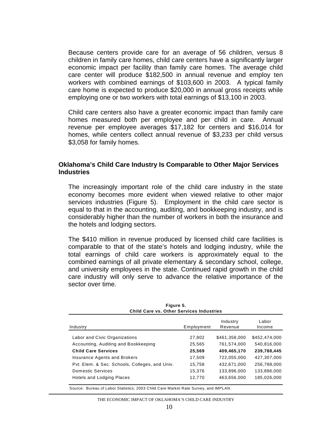Because centers provide care for an average of 56 children, versus 8 children in family care homes, child care centers have a significantly larger economic impact per facility than family care homes. The average child care center will produce \$182,500 in annual revenue and employ ten workers with combined earnings of \$103,600 in 2003. A typical family care home is expected to produce \$20,000 in annual gross receipts while employing one or two workers with total earnings of \$13,100 in 2003.

Child care centers also have a greater economic impact than family care homes measured both per employee and per child in care. Annual revenue per employee averages \$17,182 for centers and \$16,014 for homes, while centers collect annual revenue of \$3,233 per child versus \$3,058 for family homes.

#### **Oklahoma's Child Care Industry Is Comparable to Other Major Services Industries**

The increasingly important role of the child care industry in the state economy becomes more evident when viewed relative to other major services industries (Figure 5). Employment in the child care sector is equal to that in the accounting, auditing, and bookkeeping industry, and is considerably higher than the number of workers in both the insurance and the hotels and lodging sectors.

The \$410 million in revenue produced by licensed child care facilities is comparable to that of the state's hotels and lodging industry, while the total earnings of child care workers is approximately equal to the combined earnings of all private elementary & secondary school, college, and university employees in the state. Continued rapid growth in the child care industry will only serve to advance the relative importance of the sector over time.

| Industry                                       | Employment | Industry<br>Revenue | Labor<br>Income |
|------------------------------------------------|------------|---------------------|-----------------|
| Labor and Civic Organizations                  | 27,802     | \$461,358,000       | \$452,474,000   |
| Accounting, Auditing and Bookkeeping           | 25,565     | 761,574,000         | 540,816,000     |
| <b>Child Care Services</b>                     | 25,569     | 409,465,170         | 239,788,445     |
| Insurance Agents and Brokers                   | 17,509     | 722,055,000         | 427,307,000     |
| Pyt. Elem. & Sec. Schools, Colleges, and Univ. | 15,758     | 432,671,000         | 256,788,000     |
| Domestic Services                              | 15,376     | 133,896,000         | 133,896,000     |
| Hotels and Lodging Places                      | 12,770     | 463,656,000         | 185,026,000     |

**Figure 5. Child Care vs. Other Services Industries**

Source: Bureau of Labor Statistics, 2003 Child Care Market Rate Survey, and IMPLAN.

THE ECONOMIC IMPACT OF OKLAHOMA'S CHILD CARE INDUSTRY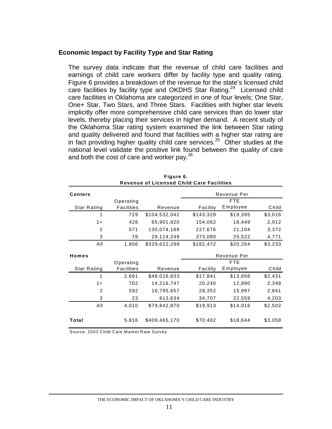#### **Economic Impact by Facility Type and Star Rating**

The survey data indicate that the revenue of child care facilities and earnings of child care workers differ by facility type and quality rating. Figure 6 provides a breakdown of the revenue for the state's licensed child care facilities by facility type and OKDHS Star Rating.<sup>24</sup> Licensed child care facilities in Oklahoma are categorized in one of four levels; One Star, One+ Star, Two Stars, and Three Stars. Facilities with higher star levels implicitly offer more comprehensive child care services than do lower star levels, thereby placing their services in higher demand. A recent study of the Oklahoma Star rating system examined the link between Star rating and quality delivered and found that facilities with a higher star rating are in fact providing higher quality child care services.<sup>25</sup> Other studies at the national level validate the positive link found between the quality of care and both the cost of care and worker pay. $26$ 

|                | <b>Revenue of Licensed Child Care Facilities</b> |               |           |             |         |  |  |
|----------------|--------------------------------------------------|---------------|-----------|-------------|---------|--|--|
| <b>Centers</b> |                                                  |               |           | Revenue Per |         |  |  |
|                | Operating                                        |               |           | <b>FTE</b>  |         |  |  |
| Star Rating    | <b>Facilities</b>                                | Revenue       | Facility  | Employee    | Child   |  |  |
| 1              | 729                                              | \$104,532,042 | \$143,329 | \$19,395    | \$3,016 |  |  |
| $1+$           | 428                                              | 65,901,820    | 154,062   | 18,449      | 2,912   |  |  |
| $\overline{2}$ | 571                                              | 130,074,189   | 227,676   | 21,104      | 3,372   |  |  |
| 3              | 78                                               | 29,114,249    | 373,080   | 25,522      | 4,771   |  |  |
| All            | 1,806                                            | \$329,622,299 | \$182,472 | \$20,264    | \$3,233 |  |  |
| Homes          |                                                  |               |           | Revenue Per |         |  |  |
|                | Operating                                        |               |           | <b>FTE</b>  |         |  |  |
| Star Rating    | <b>Facilities</b>                                | Revenue       | Facility  | Employee    | Child   |  |  |
| 1              | 2,691                                            | \$48,016,833  | \$17,841  | \$13,656    | \$2,431 |  |  |
| $1+$           | 702                                              | 14,216,747    | 20,240    | 12,990      | 2,348   |  |  |
| $\overline{2}$ | 592                                              | 16,795,657    | 28,352    | 15,997      | 2,841   |  |  |
| 3              | 23                                               | 813,634       | 34,707    | 22,559      | 4,203   |  |  |
| All            | 4,010                                            | \$79,842,870  | \$19,913  | \$14,016    | \$2,502 |  |  |
|                |                                                  |               |           |             |         |  |  |
| Total          | 5,816                                            | \$409,465,170 | \$70,402  | \$18,644    | \$3,058 |  |  |

**Figure 6.**

Source: 2003 Child Care Market Rate Survey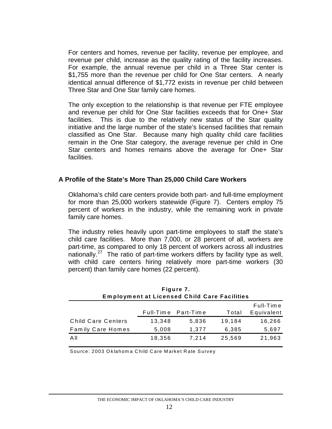For centers and homes, revenue per facility, revenue per employee, and revenue per child, increase as the quality rating of the facility increases. For example, the annual revenue per child in a Three Star center is \$1,755 more than the revenue per child for One Star centers. A nearly identical annual difference of \$1,772 exists in revenue per child between Three Star and One Star family care homes.

The only exception to the relationship is that revenue per FTE employee and revenue per child for One Star facilities exceeds that for One+ Star facilities. This is due to the relatively new status of the Star quality initiative and the large number of the state's licensed facilities that remain classified as One Star. Because many high quality child care facilities remain in the One Star category, the average revenue per child in One Star centers and homes remains above the average for One+ Star facilities.

#### **A Profile of the State's More Than 25,000 Child Care Workers**

Oklahoma's child care centers provide both part- and full-time employment for more than 25,000 workers statewide (Figure 7). Centers employ 75 percent of workers in the industry, while the remaining work in private family care homes.

The industry relies heavily upon part-time employees to staff the state's child care facilities. More than 7,000, or 28 percent of all, workers are part-time, as compared to only 18 percent of workers across all industries nationally.[27](#page-29-26) The ratio of part-time workers differs by facility type as well, with child care centers hiring relatively more part-time workers (30 percent) than family care homes (22 percent).

| Figure 7.                 |                                                     |                     |        |            |  |  |  |
|---------------------------|-----------------------------------------------------|---------------------|--------|------------|--|--|--|
|                           | <b>Employment at Licensed Child Care Facilities</b> |                     |        |            |  |  |  |
|                           |                                                     |                     |        | Full-Time  |  |  |  |
|                           |                                                     | Full-Time Part-Time | Total  | Equivalent |  |  |  |
| <b>Child Care Centers</b> | 13.348                                              | 5.836               | 19,184 | 16,266     |  |  |  |
| <b>Family Care Homes</b>  | 5,008                                               | 1,377               | 6,385  | 5,697      |  |  |  |
| All                       | 18,356                                              | 7.214               | 25,569 | 21,963     |  |  |  |

Source: 2003 Oklahoma Child Care Market Rate Survey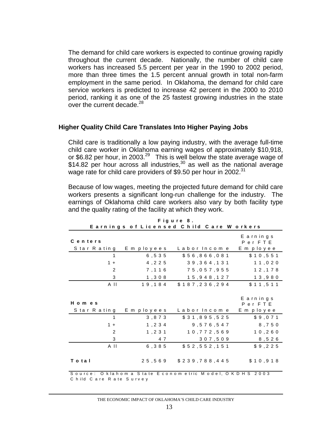The demand for child care workers is expected to continue growing rapidly throughout the current decade. Nationally, the number of child care workers has increased 5.5 percent per year in the 1990 to 2002 period, more than three times the 1.5 percent annual growth in total non-farm employment in the same period. In Oklahoma, the demand for child care service workers is predicted to increase 42 percent in the 2000 to 2010 period, ranking it as one of the 25 fastest growing industries in the state over the current decade.<sup>28</sup>

#### **Higher Quality Child Care Translates Into Higher Paying Jobs**

Child care is traditionally a low paying industry, with the average full-time child care worker in Oklahoma earning wages of approximately \$10,918, or \$6.82 per hour, in 2003.<sup>29</sup> This is well below the state average wage of \$14.82 per hour across all industries,<sup>30</sup> as well as the national average wage rate for child care providers of \$9.50 per hour in 2002. $31$ 

Because of low wages, meeting the projected future demand for child care workers presents a significant long-run challenge for the industry. The earnings of Oklahoma child care workers also vary by both facility type and the quality rating of the facility at which they work.

|                          |             | Earnings of Licensed Child Care Workers               |                                      |
|--------------------------|-------------|-------------------------------------------------------|--------------------------------------|
| Centers<br>Star Rating   | E m ployees | Labor Income                                          | Earnings<br>PerFTE<br>E m p lo y e e |
| $\mathbf 1$              | 6,535       | \$56,866,081                                          | \$10,551                             |
| $1 +$                    | 4,225       | 39, 364, 131                                          | 11,020                               |
| $\overline{2}$           | 7,116       | 75,057,955                                            | 1 2 , 1 7 8                          |
| 3                        | 1,308       | 15,948,127                                            | 13,980                               |
| A II                     | 19,184      | \$187,236,294                                         | \$11,511                             |
| H o m e s<br>Star Rating | E m ployees | Labor Income                                          | Earnings<br>PerFTE<br>E m p lo y e e |
| $\mathbf{1}$             | 3, 873      | \$31,895,525                                          | \$9,071                              |
| $1 +$                    | 1,234       | 9,576,547                                             | 8,750                                |
| 2                        | 1,231       | 10, 772, 569                                          | 10, 260                              |
| 3                        | 4 7         | 307,509                                               | 8,526                                |
| A II                     | 6, 385      | \$52,552,151                                          | \$9,225                              |
| Total                    | 25,569      | \$239,788,445                                         | \$10,918                             |
| Child Care Rate Survey   |             | Source: Oklahom a State Econometric Model, OKDHS 2003 |                                      |

**F i g u r e 8 .**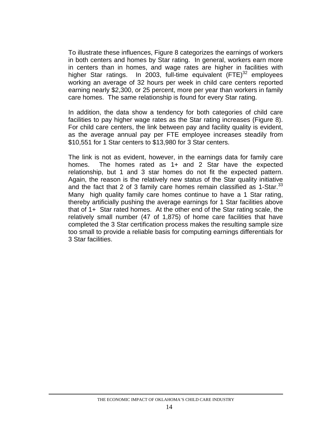To illustrate these influences, Figure 8 categorizes the earnings of workers in both centers and homes by Star rating. In general, workers earn more in centers than in homes, and wage rates are higher in facilities with higher Star ratings. In 2003, full-time equivalent  $(FTE)^{32}$  employees working an average of 32 hours per week in child care centers reported earning nearly \$2,300, or 25 percent, more per year than workers in family care homes. The same relationship is found for every Star rating.

In addition, the data show a tendency for both categories of child care facilities to pay higher wage rates as the Star rating increases (Figure 8). For child care centers, the link between pay and facility quality is evident, as the average annual pay per FTE employee increases steadily from \$10,551 for 1 Star centers to \$13,980 for 3 Star centers.

The link is not as evident, however, in the earnings data for family care homes. The homes rated as 1+ and 2 Star have the expected relationship, but 1 and 3 star homes do not fit the expected pattern. Again, the reason is the relatively new status of the Star quality initiative and the fact that 2 of 3 family care homes remain classified as  $1\text{-}Star.^{33}$ Many high quality family care homes continue to have a 1 Star rating, thereby artificially pushing the average earnings for 1 Star facilities above that of 1+ Star rated homes. At the other end of the Star rating scale, the relatively small number (47 of 1,875) of home care facilities that have completed the 3 Star certification process makes the resulting sample size too small to provide a reliable basis for computing earnings differentials for 3 Star facilities.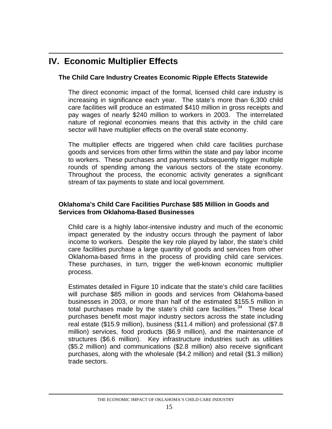# **IV. Economic Multiplier Effects**

#### **The Child Care Industry Creates Economic Ripple Effects Statewide**

The direct economic impact of the formal, licensed child care industry is increasing in significance each year. The state's more than 6,300 child care facilities will produce an estimated \$410 million in gross receipts and pay wages of nearly \$240 million to workers in 2003. The interrelated nature of regional economies means that this activity in the child care sector will have multiplier effects on the overall state economy.

The multiplier effects are triggered when child care facilities purchase goods and services from other firms within the state and pay labor income to workers. These purchases and payments subsequently trigger multiple rounds of spending among the various sectors of the state economy. Throughout the process, the economic activity generates a significant stream of tax payments to state and local government.

#### **Oklahoma's Child Care Facilities Purchase \$85 Million in Goods and Services from Oklahoma-Based Businesses**

Child care is a highly labor-intensive industry and much of the economic impact generated by the industry occurs through the payment of labor income to workers. Despite the key role played by labor, the state's child care facilities purchase a large quantity of goods and services from other Oklahoma-based firms in the process of providing child care services. These purchases, in turn, trigger the well-known economic multiplier process.

Estimates detailed in Figure 10 indicate that the state's child care facilities will purchase \$85 million in goods and services from Oklahoma-based businesses in 2003, or more than half of the estimated \$155.5 million in total purchases made by the state's child care facilities.<sup>34</sup> These *local* purchases benefit most major industry sectors across the state including real estate (\$15.9 million), business (\$11.4 million) and professional (\$7.8 million) services, food products (\$6.9 million), and the maintenance of structures (\$6.6 million). Key infrastructure industries such as utilities (\$5.2 million) and communications (\$2.8 million) also receive significant purchases, along with the wholesale (\$4.2 million) and retail (\$1.3 million) trade sectors.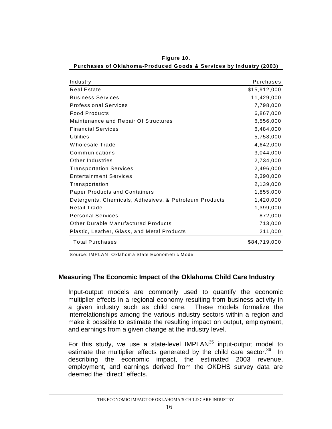| Industry                                               | Purchases    |
|--------------------------------------------------------|--------------|
| Real Estate                                            | \$15,912,000 |
| <b>Business Services</b>                               | 11,429,000   |
| <b>Professional Services</b>                           | 7,798,000    |
| <b>Food Products</b>                                   | 6,867,000    |
| Maintenance and Repair Of Structures                   | 6,556,000    |
| <b>Financial Services</b>                              | 6,484,000    |
| Utilities                                              | 5,758,000    |
| Wholesale Trade                                        | 4,642,000    |
| Communications                                         | 3,044,000    |
| Other Industries                                       | 2,734,000    |
| <b>Transportation Services</b>                         | 2,496,000    |
| <b>Entertainment Services</b>                          | 2,390,000    |
| Transportation                                         | 2,139,000    |
| <b>Paper Products and Containers</b>                   | 1,855,000    |
| Detergents, Chemicals, Adhesives, & Petroleum Products | 1,420,000    |
| Retail Trade                                           | 1,399,000    |
| <b>Personal Services</b>                               | 872,000      |
| Other Durable Manufactured Products                    | 713,000      |
| Plastic, Leather, Glass, and Metal Products            | 211,000      |
| <b>Total Purchases</b>                                 | \$84,719,000 |

**Figure 10. Purchases of Oklahom a-Produced Goods & Services by Industry (2003)**

Source: IMPLAN, Oklahoma State Econometric Model

#### **Measuring The Economic Impact of the Oklahoma Child Care Industry**

Input-output models are commonly used to quantify the economic multiplier effects in a regional economy resulting from business activity in a given industry such as child care. These models formalize the interrelationships among the various industry sectors within a region and make it possible to estimate the resulting impact on output, employment, and earnings from a given change at the industry level.

For this study, we use a state-level IMPLA $N^{35}$  input-output model to estimate the multiplier effects generated by the child care sector.<sup>36</sup> In describing the economic impact, the estimated 2003 revenue, employment, and earnings derived from the OKDHS survey data are deemed the "direct" effects.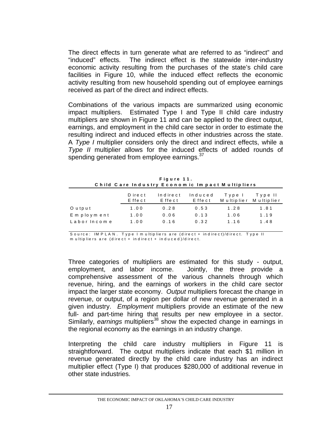The direct effects in turn generate what are referred to as "indirect" and "induced" effects. The indirect effect is the statewide inter-industry economic activity resulting from the purchases of the state's child care facilities in Figure 10, while the induced effect reflects the economic activity resulting from new household spending out of employee earnings received as part of the direct and indirect effects.

Combinations of the various impacts are summarized using economic impact multipliers. Estimated Type I and Type II child care industry multipliers are shown in Figure 11 and can be applied to the direct output, earnings, and employment in the child care sector in order to estimate the resulting indirect and induced effects in other industries across the state. A *Type I* multiplier considers only the direct and indirect effects, while a *Type II* multiplier allows for the induced effects of added rounds of spending generated from employee earnings.<sup>37</sup>

| Figure 11.                                      |  |
|-------------------------------------------------|--|
| Child Care Industry Economic Impact Multipliers |  |

|              | Direct<br>Effect | Indirect<br>Effect | Induced<br>Effect | Type I<br>M ultiplier | Type II<br>M ultiplier |
|--------------|------------------|--------------------|-------------------|-----------------------|------------------------|
| O u tp u t   | 1.00             | 0.28               | 0.53              | 1.28                  | 1.81                   |
| Employment   | 1.00             | 0.06               | 0.13              | 1.06                  | 1.19                   |
| Labor Income | 1.00             | 0.16               | 0.32              | 1.16                  | 1.48                   |

Source: IM P L A N . Type I m ultipliers are (direct + indirect)/direct. Type II m u ltip liers are (direct + indirect + induced)/direct.

Three categories of multipliers are estimated for this study - output, employment, and labor income. Jointly, the three provide a comprehensive assessment of the various channels through which revenue, hiring, and the earnings of workers in the child care sector impact the larger state economy. *Output* multipliers forecast the change in revenue, or output, of a region per dollar of new revenue generated in a given industry. *Employment* multipliers provide an estimate of the new full- and part-time hiring that results per new employee in a sector. Similarly, *earnings* multipliers<sup>38</sup> show the expected change in earnings in the regional economy as the earnings in an industry change.

Interpreting the child care industry multipliers in Figure 11 is straightforward. The output multipliers indicate that each \$1 million in revenue generated directly by the child care industry has an indirect multiplier effect (Type I) that produces \$280,000 of additional revenue in other state industries.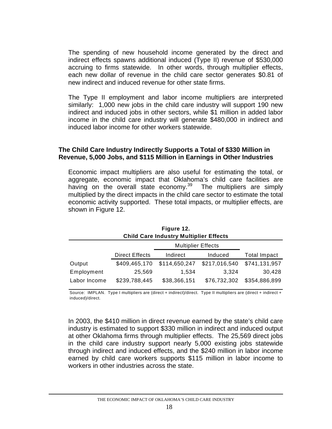The spending of new household income generated by the direct and indirect effects spawns additional induced (Type II) revenue of \$530,000 accruing to firms statewide. In other words, through multiplier effects, each new dollar of revenue in the child care sector generates \$0.81 of new indirect and induced revenue for other state firms.

The Type II employment and labor income multipliers are interpreted similarly: 1,000 new jobs in the child care industry will support 190 new indirect and induced jobs in other sectors, while \$1 million in added labor income in the child care industry will generate \$480,000 in indirect and induced labor income for other workers statewide.

#### **The Child Care Industry Indirectly Supports a Total of \$330 Million in Revenue, 5,000 Jobs, and \$115 Million in Earnings in Other Industries**

Economic impact multipliers are also useful for estimating the total, or aggregate, economic impact that Oklahoma's child care facilities are having on the overall state economy.<sup>39</sup> The multipliers are simply multiplied by the direct impacts in the child care sector to estimate the total economic activity supported. These total impacts, or multiplier effects, are shown in Figure 12.

| <b>Child Care Industry Multiplier Effects</b> |                       |               |               |                     |  |  |
|-----------------------------------------------|-----------------------|---------------|---------------|---------------------|--|--|
|                                               |                       |               |               |                     |  |  |
|                                               | <b>Direct Effects</b> | Indirect      | Induced       | <b>Total Impact</b> |  |  |
| Output                                        | \$409,465,170         | \$114,650,247 | \$217,016,540 | \$741,131,957       |  |  |
| Employment                                    | 25,569                | 1.534         | 3.324         | 30,428              |  |  |
| Labor Income                                  | \$239,788,445         | \$38,366,151  | \$76,732,302  | \$354,886,899       |  |  |

**Figure 12.**

Source: IMPLAN. Type I multipliers are (direct + indirect)/direct. Type II multipliers are (direct + indirect + induced)/direct.

In 2003, the \$410 million in direct revenue earned by the state's child care industry is estimated to support \$330 million in indirect and induced output at other Oklahoma firms through multiplier effects. The 25,569 direct jobs in the child care industry support nearly 5,000 existing jobs statewide through indirect and induced effects, and the \$240 million in labor income earned by child care workers supports \$115 million in labor income to workers in other industries across the state.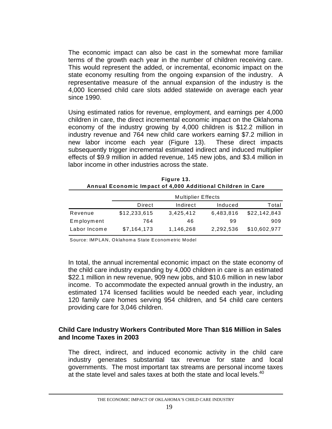The economic impact can also be cast in the somewhat more familiar terms of the growth each year in the number of children receiving care. This would represent the added, or incremental, economic impact on the state economy resulting from the ongoing expansion of the industry. A representative measure of the annual expansion of the industry is the 4,000 licensed child care slots added statewide on average each year since 1990.

Using estimated ratios for revenue, employment, and earnings per 4,000 children in care, the direct incremental economic impact on the Oklahoma economy of the industry growing by 4,000 children is \$12.2 million in industry revenue and 764 new child care workers earning \$7.2 million in new labor income each year (Figure 13). These direct impacts subsequently trigger incremental estimated indirect and induced multiplier effects of \$9.9 million in added revenue, 145 new jobs, and \$3.4 million in labor income in other industries across the state.

|              | <b>Multiplier Effects</b> |           |           |              |  |  |
|--------------|---------------------------|-----------|-----------|--------------|--|--|
|              | Direct                    | Indirect  | Induced   | Total        |  |  |
| Revenue      | \$12,233,615              | 3,425,412 | 6,483,816 | \$22,142,843 |  |  |
| Employment   | 764                       | 46        | 99        | 909          |  |  |
| Labor Income | \$7,164,173               | 1,146,268 | 2,292,536 | \$10,602,977 |  |  |

| Figure 13.                                                  |  |  |  |  |
|-------------------------------------------------------------|--|--|--|--|
| Annual Economic Impact of 4,000 Additional Children in Care |  |  |  |  |

Source: IMPLAN, Oklahoma State Econometric Model

In total, the annual incremental economic impact on the state economy of the child care industry expanding by 4,000 children in care is an estimated \$22.1 million in new revenue, 909 new jobs, and \$10.6 million in new labor income. To accommodate the expected annual growth in the industry, an estimated 174 licensed facilities would be needed each year, including 120 family care homes serving 954 children, and 54 child care centers providing care for 3,046 children.

#### **Child Care Industry Workers Contributed More Than \$16 Million in Sales and Income Taxes in 2003**

The direct, indirect, and induced economic activity in the child care industry generates substantial tax revenue for state and local governments. The most important tax streams are personal income taxes at the state level and sales taxes at both the state and local levels.<sup>40</sup>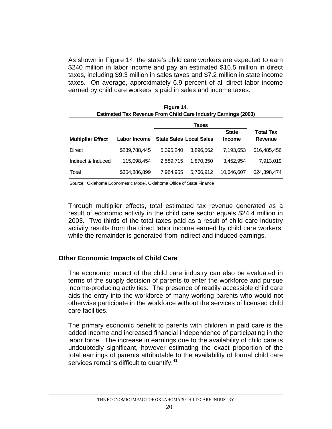As shown in Figure 14, the state's child care workers are expected to earn \$240 million in labor income and pay an estimated \$16.5 million in direct taxes, including \$9.3 million in sales taxes and \$7.2 million in state income taxes. On average, approximately 6.9 percent of all direct labor income earned by child care workers is paid in sales and income taxes.

**Figure 14.**

| <b>Estimated Tax Revenue From Child Care Industry Earnings (2003)</b> |               |           |                                |                               |                                    |  |  |
|-----------------------------------------------------------------------|---------------|-----------|--------------------------------|-------------------------------|------------------------------------|--|--|
|                                                                       |               |           |                                |                               |                                    |  |  |
| <b>Multiplier Effect</b>                                              | Labor Income  |           | <b>State Sales Local Sales</b> | <b>State</b><br><b>Income</b> | <b>Total Tax</b><br><b>Revenue</b> |  |  |
| Direct                                                                | \$239,788,445 | 5.395.240 | 3.896.562                      | 7,193,653                     | \$16,485,456                       |  |  |
| Indirect & Induced                                                    | 115,098,454   | 2,589,715 | 1,870,350                      | 3,452,954                     | 7,913,019                          |  |  |
| Total                                                                 | \$354,886,899 | 7,984,955 | 5,766,912                      | 10,646,607                    | \$24,398,474                       |  |  |

Source: Oklahoma Econometric Model, Oklahoma Office of State Finance

Through multiplier effects, total estimated tax revenue generated as a result of economic activity in the child care sector equals \$24.4 million in 2003. Two-thirds of the total taxes paid as a result of child care industry activity results from the direct labor income earned by child care workers, while the remainder is generated from indirect and induced earnings.

#### **Other Economic Impacts of Child Care**

The economic impact of the child care industry can also be evaluated in terms of the supply decision of parents to enter the workforce and pursue income-producing activities. The presence of readily accessible child care aids the entry into the workforce of many working parents who would not otherwise participate in the workforce without the services of licensed child care facilities.

The primary economic benefit to parents with children in paid care is the added income and increased financial independence of participating in the labor force. The increase in earnings due to the availability of child care is undoubtedly significant, however estimating the exact proportion of the total earnings of parents attributable to the availability of formal child care services remains difficult to quantify.<sup>41</sup>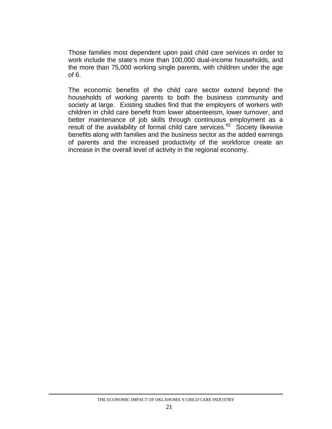Those families most dependent upon paid child care services in order to work include the state's more than 100,000 dual-income households, and the more than 75,000 working single parents, with children under the age of 6.

The economic benefits of the child care sector extend beyond the households of working parents to both the business community and society at large. Existing studies find that the employers of workers with children in child care benefit from lower absenteeism, lower turnover, and better maintenance of job skills through continuous employment as a result of the availability of formal child care services.<sup>42</sup> Society likewise benefits along with families and the business sector as the added earnings of parents and the increased productivity of the workforce create an increase in the overall level of activity in the regional economy.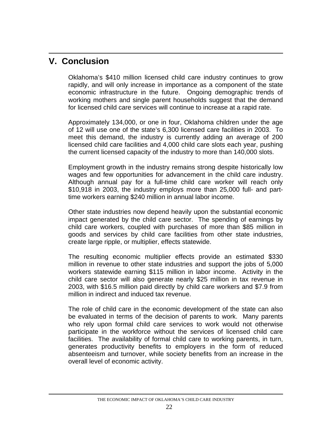# **V. Conclusion**

Oklahoma's \$410 million licensed child care industry continues to grow rapidly, and will only increase in importance as a component of the state economic infrastructure in the future. Ongoing demographic trends of working mothers and single parent households suggest that the demand for licensed child care services will continue to increase at a rapid rate.

Approximately 134,000, or one in four, Oklahoma children under the age of 12 will use one of the state's 6,300 licensed care facilities in 2003. To meet this demand, the industry is currently adding an average of 200 licensed child care facilities and 4,000 child care slots each year, pushing the current licensed capacity of the industry to more than 140,000 slots.

Employment growth in the industry remains strong despite historically low wages and few opportunities for advancement in the child care industry. Although annual pay for a full-time child care worker will reach only \$10,918 in 2003, the industry employs more than 25,000 full- and parttime workers earning \$240 million in annual labor income.

Other state industries now depend heavily upon the substantial economic impact generated by the child care sector. The spending of earnings by child care workers, coupled with purchases of more than \$85 million in goods and services by child care facilities from other state industries, create large ripple, or multiplier, effects statewide.

The resulting economic multiplier effects provide an estimated \$330 million in revenue to other state industries and support the jobs of 5,000 workers statewide earning \$115 million in labor income. Activity in the child care sector will also generate nearly \$25 million in tax revenue in 2003, with \$16.5 million paid directly by child care workers and \$7.9 from million in indirect and induced tax revenue.

The role of child care in the economic development of the state can also be evaluated in terms of the decision of parents to work. Many parents who rely upon formal child care services to work would not otherwise participate in the workforce without the services of licensed child care facilities. The availability of formal child care to working parents, in turn, generates productivity benefits to employers in the form of reduced absenteeism and turnover, while society benefits from an increase in the overall level of economic activity.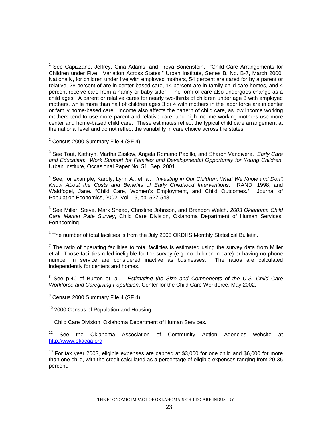$2$  Census 2000 Summary File 4 (SF 4).

3 See Tout, Kathryn, Martha Zaslow, Angela Romano Papillo, and Sharon Vandivere. *Early Care and Education: Work Support for Families and Developmental Opportunity for Young Children*. Urban Institute, Occasional Paper No. 51, Sep. 2001.

4 See, for example, Karoly, Lynn A., et. al.. *Investing in Our Children: What We Know and Don't Know About the Costs and Benefits of Early Childhood Interventions*. RAND, 1998; and Waldfogel, Jane. "Child Care, Women's Employment, and Child Outcomes." Journal of Population Economics, 2002, Vol. 15, pp. 527-548.

5 See Miller, Steve, Mark Snead, Christine Johnson, and Brandon Welch. *2003 Oklahoma Child Care Market Rate Survey*, Child Care Division, Oklahoma Department of Human Services. Forthcoming.

 $6$  The number of total facilities is from the July 2003 OKDHS Monthly Statistical Bulletin.

 $<sup>7</sup>$  The ratio of operating facilities to total facilities is estimated using the survey data from Miller</sup> et.al.. Those facilities ruled ineligible for the survey (e.g. no children in care) or having no phone number in service are considered inactive as businesses. The ratios are calculated independently for centers and homes.

8 See p.40 of Burton et. al.. *Estimating the Size and Components of the U.S. Child Care Workforce and Caregiving Population*. Center for the Child Care Workforce, May 2002.

 $9$  Census 2000 Summary File 4 (SF 4).

<sup>10</sup> 2000 Census of Population and Housing.

<sup>11</sup> Child Care Division, Oklahoma Department of Human Services.

<sup>12</sup> See the Oklahoma Association of Community Action Agencies website at [http://www.okacaa.org](http://www.okacaa.org/)

<sup>13</sup> For tax vear 2003, eligible expenses are capped at \$3,000 for one child and \$6,000 for more than one child, with the credit calculated as a percentage of eligible expenses ranging from 20-35 percent.

 $\overline{a}$ 1 See Capizzano, Jeffrey, Gina Adams, and Freya Sonenstein. "Child Care Arrangements for Children under Five: Variation Across States." Urban Institute, Series B, No. B-7, March 2000. Nationally, for children under five with employed mothers, 54 percent are cared for by a parent or relative, 28 percent of are in center-based care, 14 percent are in family child care homes, and 4 percent receive care from a nanny or baby-sitter. The form of care also undergoes change as a child ages. A parent or relative cares for nearly two-thirds of children under age 3 with employed mothers, while more than half of children ages 3 or 4 with mothers in the labor force are in center or family home-based care. Income also affects the pattern of child care, as low income working mothers tend to use more parent and relative care, and high income working mothers use more center and home-based child care. These estimates reflect the typical child care arrangement at the national level and do not reflect the variability in care choice across the states.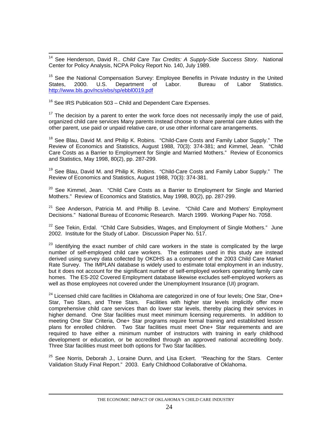<sup>14</sup> See Henderson, David R.. *Child Care Tax Credits: A Supply-Side Success Story*. National Center for Policy Analysis, NCPA Policy Report No. 140, July 1989.

<sup>15</sup> See the National Compensation Survey: Employee Benefits in Private Industry in the United<br>States. 2000. U.S. Department of Labor. Bureau of Labor Statistics. States, 2000. U.S. Department of Labor. Bureau of Labor Statistics. <http://www.bls.gov/ncs/ebs/sp/ebbl0019.pdf>

 $16$  See IRS Publication 503 – Child and Dependent Care Expenses.

 $17$  The decision by a parent to enter the work force does not necessarily imply the use of paid, organized child care services Many parents instead choose to share parental care duties with the other parent, use paid or unpaid relative care, or use other informal care arrangements.

<sup>18</sup> See Blau, David M. and Philip K. Robins. "Child-Care Costs and Family Labor Supply." The Review of Economics and Statistics, August 1988, 70(3): 374-381; and Kimmel, Jean. "Child Care Costs as a Barrier to Employment for Single and Married Mothers." Review of Economics and Statistics, May 1998, 80(2), pp. 287-299.

 $19$  See Blau, David M. and Philip K. Robins. "Child-Care Costs and Family Labor Supply." The Review of Economics and Statistics, August 1988, 70(3): 374-381.

 $20$  See Kimmel, Jean. "Child Care Costs as a Barrier to Employment for Single and Married Mothers." Review of Economics and Statistics, May 1998, 80(2), pp. 287-299.

 $21$  See Anderson, Patricia M. and Phillip B. Levine. "Child Care and Mothers' Employment Decisions." National Bureau of Economic Research. March 1999. Working Paper No. 7058.

 $22$  See Tekin, Erdal. "Child Care Subsidies, Wages, and Employment of Single Mothers." June 2002. Institute for the Study of Labor. Discussion Paper No. 517.

<sup>23</sup> Identifying the exact number of child care workers in the state is complicated by the large number of self-employed child care workers. The estimates used in this study are instead derived using survey data collected by OKDHS as a component of the 2003 Child Care Market Rate Survey. The IMPLAN database is widely used to estimate total employment in an industry, but it does not account for the significant number of self-employed workers operating family care homes. The ES-202 Covered Employment database likewise excludes self-employed workers as well as those employees not covered under the Unemployment Insurance (UI) program.

 $24$  Licensed child care facilities in Oklahoma are categorized in one of four levels; One Star, One+ Star, Two Stars, and Three Stars. Facilities with higher star levels implicitly offer more comprehensive child care services than do lower star levels, thereby placing their services in higher demand. One Star facilities must meet minimum licensing requirements. In addition to meeting One Star Criteria, One+ Star programs require formal training and established lesson plans for enrolled children. Two Star facilities must meet One+ Star requirements and are required to have either a minimum number of instructors with training in early childhood development or education, or be accredited through an approved national accrediting body. Three Star facilities must meet both options for Two Star facilities.

<sup>25</sup> See Norris, Deborah J., Loraine Dunn, and Lisa Eckert. "Reaching for the Stars. Center Validation Study Final Report." 2003. Early Childhood Collaborative of Oklahoma.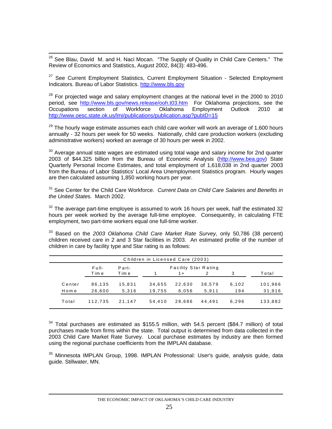<sup>26</sup> See Blau, David M. and H. Naci Mocan. "The Supply of Quality in Child Care Centers." The Review of Economics and Statistics, August 2002, 84(3): 483-496.

 $27$  See Current Employment Statistics, Current Employment Situation - Selected Employment Indicators. Bureau of Labor Statistics. [http://www.bls.gov](http://www.bls.gov/)

 $28$  For projected wage and salary employment changes at the national level in the 2000 to 2010 period, see <http://www.bls.gov/news.release/ooh.t03.htm> For Oklahoma projections, see the Occupations section of Workforce Oklahoma Employment Outlook 2010 at <http://www.oesc.state.ok.us/lmi/publications/publication.asp?pubID=15>

 $29$  The hourly wage estimate assumes each child care worker will work an average of 1,600 hours annually - 32 hours per week for 50 weeks. Nationally, child care production workers (excluding administrative workers) worked an average of 30 hours per week in 2002.

 $30$  Average annual state wages are estimated using total wage and salary income for 2nd quarter 2003 of \$44.325 billion from the Bureau of Economic Analysis [\(http://www.bea.gov](http://www.bea.gov/)) State Quarterly Personal Income Estimates, and total employment of 1,618,038 in 2nd quarter 2003 from the Bureau of Labor Statistics' Local Area Unemployment Statistics program. Hourly wages are then calculated assuming 1,850 working hours per year.

31 See Center for the Child Care Workforce. *Current Data on Child Care Salaries and Benefits in the United State*s. March 2002.

 $32$  The average part-time employee is assumed to work 16 hours per week, half the estimated 32 hours per week worked by the average full-time employee. Consequently, in calculating FTE employment, two part-time workers equal one full-time worker.

33 Based on the *2003 Oklahoma Child Care Market Rate Survey*, only 50,786 (38 percent) children received care in 2 and 3 Star facilities in 2003. An estimated profile of the number of children in care by facility type and Star rating is as follows:

| Children in Licensed Care (2003) |         |        |                             |        |        |       |         |
|----------------------------------|---------|--------|-----------------------------|--------|--------|-------|---------|
|                                  | Full-   | Part-  | <b>Facility Star Rating</b> |        |        |       |         |
|                                  | Time    | Time   |                             | $1 +$  |        | 3     | Total   |
| Center                           | 86.135  | 15.831 | 34,655                      | 22.630 | 38,579 | 6,102 | 101,966 |
| Home                             | 26.600  | 5.316  | 19.755                      | 6.056  | 5.911  | 194   | 31,916  |
| Total                            | 112.735 | 21.147 | 54.410                      | 28.686 | 44.491 | 6.296 | 133,882 |

 $34$  Total purchases are estimated as \$155.5 million, with 54.5 percent (\$84.7 million) of total purchases made from firms within the state. Total output is determined from data collected in the 2003 Child Care Market Rate Survey. Local purchase estimates by industry are then formed using the regional purchase coefficients from the IMPLAN database.

<sup>35</sup> Minnesota IMPLAN Group, 1998. IMPLAN Professional: User's guide, analysis guide, data guide. Stillwater, MN.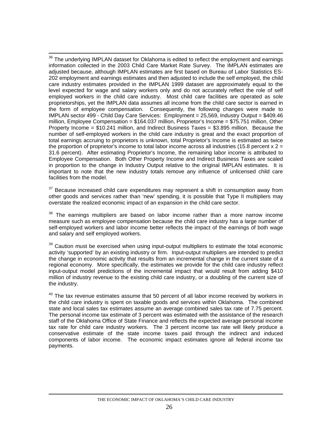<sup>36</sup> The underlying IMPLAN dataset for Oklahoma is edited to reflect the employment and earnings information collected in the 2003 Child Care Market Rate Survey. The IMPLAN estimates are adjusted because, although IMPLAN estimates are first based on Bureau of Labor Statistics ES-202 employment and earnings estimates and then adjusted to include the self employed, the child care industry estimates provided in the IMPLAN 1999 dataset are approximately equal to the level expected for wage and salary workers only and do not accurately reflect the role of self employed workers in the child care industry. Most child care facilities are operated as sole proprietorships, yet the IMPLAN data assumes all income from the child care sector is earned in the form of employee compensation. Consequently, the following changes were made to IMPLAN sector 499 - Child Day Care Services: Employment = 25,569, Industry Output = \$409.46 million, Employee Compensation = \$164.037 million, Proprietor's Income = \$75.751 million, Other Property Income = \$10.241 million, and Indirect Business Taxes = \$3.895 million. Because the number of self-employed workers in the child care industry is great and the exact proportion of total earnings accruing to proprietors is unknown, total Proprietor's Income is estimated as twice the proportion of proprietor's income to total labor income across all industries (15.8 percent  $x = 2$ 31.6 percent). After estimating Proprietor's Income, the remaining labor income is attributed to Employee Compensation. Both Other Property Income and Indirect Business Taxes are scaled in proportion to the change in Industry Output relative to the original IMPLAN estimates. It is important to note that the new industry totals remove any influence of unlicensed child care facilities from the model.

 $37$  Because increased child care expenditures may represent a shift in consumption away from other goods and services rather than 'new' spending, it is possible that Type II multipliers may overstate the realized economic impact of an expansion in the child care sector.

<sup>38</sup> The earnings multipliers are based on labor income rather than a more narrow income measure such as employee compensation because the child care industry has a large number of self-employed workers and labor income better reflects the impact of the earnings of both wage and salary and self employed workers.

<sup>39</sup> Caution must be exercised when using input-output multipliers to estimate the total economic activity 'supported' by an existing industry or firm. Input-output multipliers are intended to predict the change in economic activity that results from an incremental change in the current state of a regional economy. More specifically, the estimates we provide for the child care industry reflect input-output model predictions of the incremental impact that would result from adding \$410 million of industry revenue to the existing child care industry, or a doubling of the current size of the industry.

 $40$  The tax revenue estimates assume that 50 percent of all labor income received by workers in the child care industry is spent on taxable goods and services within Oklahoma. The combined state and local sales tax estimates assume an average combined sales tax rate of 7.75 percent. The personal income tax estimate of 3 percent was estimated with the assistance of the research staff of the Oklahoma Office of State Finance and reflects the expected average personal income tax rate for child care industry workers. The 3 percent income tax rate will likely produce a conservative estimate of the state income taxes paid through the indirect and induced components of labor income. The economic impact estimates ignore all federal income tax payments.